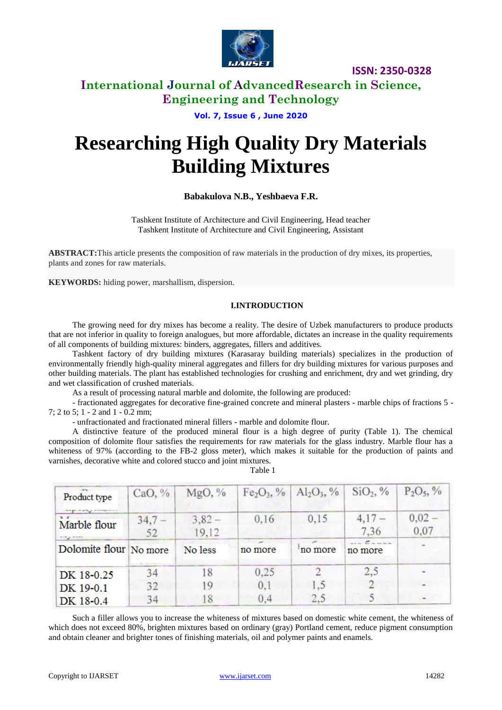

### **International Journal of AdvancedResearch in Science, Engineering and Technology**

**Vol. 7, Issue 6 , June 2020**

# **Researching High Quality Dry Materials Building Mixtures**

### **Babakulova N.B., Yeshbaeva F.R.**

Tashkent Institute of Architecture and Civil Engineering, Head teacher Tashkent Institute of Architecture and Civil Engineering, Assistant

**ABSTRACT:**This article presents the composition of raw materials in the production of dry mixes, its properties, plants and zones for raw materials.

**KEYWORDS:** hiding power, marshallism, dispersion.

#### **I.INTRODUCTION**

The growing need for dry mixes has become a reality. The desire of Uzbek manufacturers to produce products that are not inferior in quality to foreign analogues, but more affordable, dictates an increase in the quality requirements of all components of building mixtures: binders, aggregates, fillers and additives.

Tashkent factory of dry building mixtures (Karasaray building materials) specializes in the production of environmentally friendly high-quality mineral aggregates and fillers for dry building mixtures for various purposes and other building materials. The plant has established technologies for crushing and enrichment, dry and wet grinding, dry and wet classification of crushed materials.

As a result of processing natural marble and dolomite, the following are produced:

- fractionated aggregates for decorative fine-grained concrete and mineral plasters - marble chips of fractions 5 - 7: 2 to 5: 1 - 2 and 1 - 0.2 mm;

- unfractionated and fractionated mineral fillers - marble and dolomite flour.

A distinctive feature of the produced mineral flour is a high degree of purity (Table 1). The chemical composition of dolomite flour satisfies the requirements for raw materials for the glass industry. Marble flour has a whiteness of 97% (according to the FB-2 gloss meter), which makes it suitable for the production of paints and varnishes, decorative white and colored stucco and joint mixtures. Table 1

| Product type                                        | CaO, $%$   | MgO, %           |         | $Fe2O3$ , % Al <sub>2</sub> O <sub>3</sub> , % | SiO <sub>2</sub> , %  | $P_2O_5$ , %<br>$0.02 -$<br>0,07 |  |
|-----------------------------------------------------|------------|------------------|---------|------------------------------------------------|-----------------------|----------------------------------|--|
| Marble flour                                        | 34,7<br>52 | $3,82-$<br>19,12 | 0,16    | 0,15                                           | $4,17-$<br>7.36       |                                  |  |
| the property of the party<br>Dolomite flour No more |            | No less          | no more | no more                                        | $\epsilon$<br>no more |                                  |  |
| DK 18-0.25                                          | 34         | 18               | 0.25    |                                                | 2,5                   |                                  |  |
| DK 19-0.1                                           | 32         | 19               | 0,1     | 1.5                                            |                       |                                  |  |
| DK 18-0.4                                           | 34         |                  | 0.4     | 2.5                                            |                       |                                  |  |

Such a filler allows you to increase the whiteness of mixtures based on domestic white cement, the whiteness of which does not exceed 80%, brighten mixtures based on ordinary (gray) Portland cement, reduce pigment consumption and obtain cleaner and brighter tones of finishing materials, oil and polymer paints and enamels.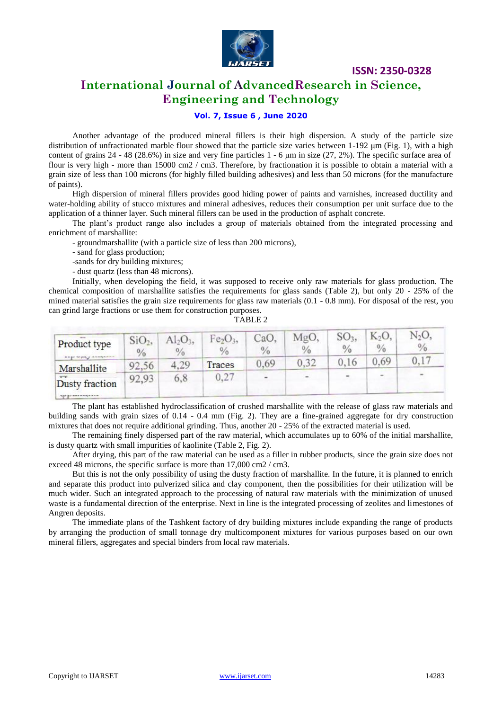

## **International Journal of AdvancedResearch in Science, Engineering and Technology**

#### **Vol. 7, Issue 6 , June 2020**

Another advantage of the produced mineral fillers is their high dispersion. A study of the particle size distribution of unfractionated marble flour showed that the particle size varies between 1-192 μm (Fig. 1), with a high content of grains 24 - 48 (28.6%) in size and very fine particles 1 - 6 μm in size (27, 2%). The specific surface area of flour is very high - more than 15000 cm2 / cm3. Therefore, by fractionation it is possible to obtain a material with a grain size of less than 100 microns (for highly filled building adhesives) and less than 50 microns (for the manufacture of paints).

High dispersion of mineral fillers provides good hiding power of paints and varnishes, increased ductility and water-holding ability of stucco mixtures and mineral adhesives, reduces their consumption per unit surface due to the application of a thinner layer. Such mineral fillers can be used in the production of asphalt concrete.

The plant's product range also includes a group of materials obtained from the integrated processing and enrichment of marshallite:

- groundmarshallite (with a particle size of less than 200 microns),

- sand for glass production;
- -sands for dry building mixtures;

- dust quartz (less than 48 microns).

Initially, when developing the field, it was supposed to receive only raw materials for glass production. The chemical composition of marshallite satisfies the requirements for glass sands (Table 2), but only 20 - 25% of the mined material satisfies the grain size requirements for glass raw materials (0.1 - 0.8 mm). For disposal of the rest, you can grind large fractions or use them for construction purposes.

| Product type   | SiO <sub>2</sub><br>$\frac{0}{0}$ | $Al_2O_3$<br>$\frac{0}{0}$ | Fe <sub>2</sub> O <sub>3</sub><br>$\frac{0}{0}$ | CaO,<br>$\frac{0}{0}$ | MgO.<br>$\frac{0}{0}$    | SO <sub>3</sub><br>$\frac{0}{0}$ | K <sub>2</sub> O,<br>$\frac{0}{0}$ | N <sub>2</sub> O<br>$\frac{0}{0}$ |
|----------------|-----------------------------------|----------------------------|-------------------------------------------------|-----------------------|--------------------------|----------------------------------|------------------------------------|-----------------------------------|
| Marshallite    | 92,56                             | 4.29                       | Traces                                          | 0,69                  | 0,32                     | 0,16                             | 0.69                               | 0,17                              |
| Dusty fraction | 92,93                             | 6,8                        | 0,27                                            | $\overline{a}$        | $\overline{\phantom{a}}$ |                                  | <b>W</b>                           | ٠                                 |

The plant has established hydroclassification of crushed marshallite with the release of glass raw materials and building sands with grain sizes of 0.14 - 0.4 mm (Fig. 2). They are a fine-grained aggregate for dry construction mixtures that does not require additional grinding. Thus, another 20 - 25% of the extracted material is used.

The remaining finely dispersed part of the raw material, which accumulates up to 60% of the initial marshallite, is dusty quartz with small impurities of kaolinite (Table 2, Fig. 2).

After drying, this part of the raw material can be used as a filler in rubber products, since the grain size does not exceed 48 microns, the specific surface is more than 17,000 cm2 / cm3.

But this is not the only possibility of using the dusty fraction of marshallite. In the future, it is planned to enrich and separate this product into pulverized silica and clay component, then the possibilities for their utilization will be much wider. Such an integrated approach to the processing of natural raw materials with the minimization of unused waste is a fundamental direction of the enterprise. Next in line is the integrated processing of zeolites and limestones of Angren deposits.

The immediate plans of the Tashkent factory of dry building mixtures include expanding the range of products by arranging the production of small tonnage dry multicomponent mixtures for various purposes based on our own mineral fillers, aggregates and special binders from local raw materials.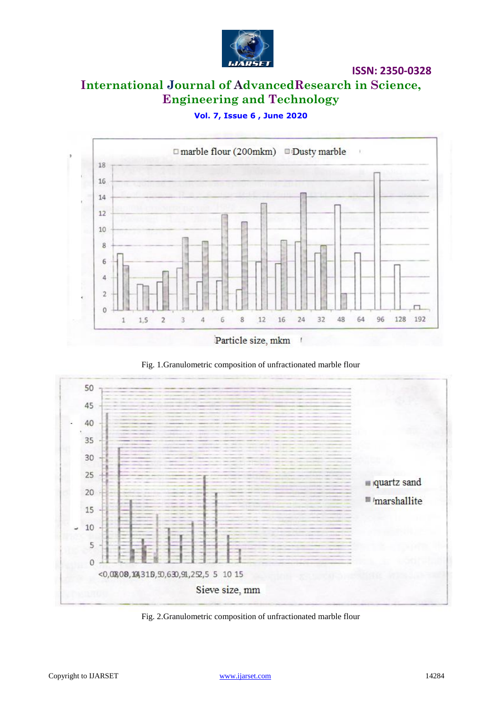

# **International Journal of AdvancedResearch in Science, Engineering and Technology**

### **Vol. 7, Issue 6 , June 2020**







Fig. 2.Granulometric composition of unfractionated marble flour